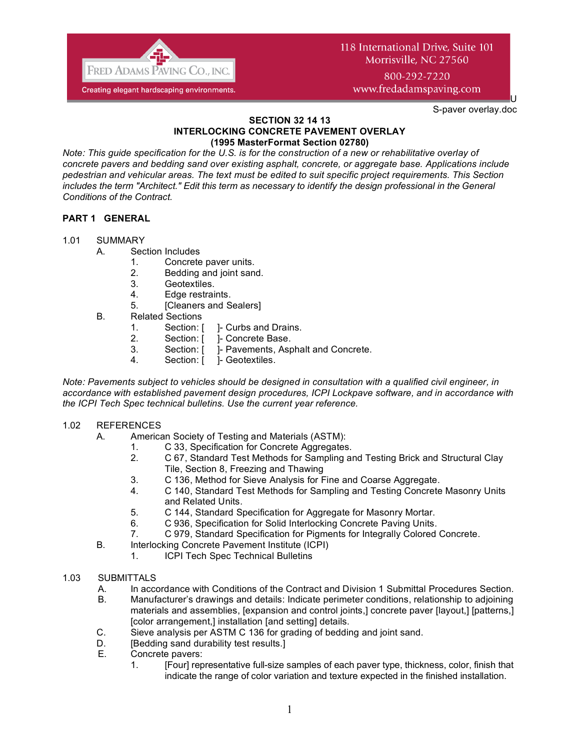

800-292-7220 www.fredadamspaving.com

S-paver overlay.doc

U

#### **SECTION 32 14 13 INTERLOCKING CONCRETE PAVEMENT OVERLAY (1995 MasterFormat Section 02780)**

*Note: This guide specification for the U.S. is for the construction of a new or rehabilitative overlay of concrete pavers and bedding sand over existing asphalt, concrete, or aggregate base. Applications include pedestrian and vehicular areas. The text must be edited to suit specific project requirements. This Section includes the term "Architect." Edit this term as necessary to identify the design professional in the General Conditions of the Contract.*

# **PART 1 GENERAL**

- 1.01 SUMMARY
	- A. Section Includes
		- 1. Concrete paver units.
		- 2. Bedding and joint sand.
		- 3. Geotextiles.
		- 4. Edge restraints.
		- 5. [Cleaners and Sealers]
	- B. Related Sections
		- 1. Section: [ ]- Curbs and Drains.
		- 2. Section: [ ]- Concrete Base.
		- 3. Section: [ ]- Pavements, Asphalt and Concrete.
		- 4. Section: [ ]- Geotextiles.

*Note: Pavements subject to vehicles should be designed in consultation with a qualified civil engineer, in accordance with established pavement design procedures, ICPI Lockpave software, and in accordance with the ICPI Tech Spec technical bulletins. Use the current year reference.*

# 1.02 REFERENCES

- A. American Society of Testing and Materials (ASTM):
	- 1. C 33, Specification for Concrete Aggregates.
	- 2. C 67, Standard Test Methods for Sampling and Testing Brick and Structural Clay Tile, Section 8, Freezing and Thawing
	- 3. C 136, Method for Sieve Analysis for Fine and Coarse Aggregate.
	- 4. C 140, Standard Test Methods for Sampling and Testing Concrete Masonry Units and Related Units.
	- 5. C 144, Standard Specification for Aggregate for Masonry Mortar.
	- 6. C 936, Specification for Solid Interlocking Concrete Paving Units.
	- 7. C 979, Standard Specification for Pigments for Integrally Colored Concrete.
- B. Interlocking Concrete Pavement Institute (ICPI)
	- 1. ICPI Tech Spec Technical Bulletins

# 1.03 SUBMITTALS

- A. In accordance with Conditions of the Contract and Division 1 Submittal Procedures Section.
- B. Manufacturer's drawings and details: Indicate perimeter conditions, relationship to adjoining materials and assemblies, [expansion and control joints,] concrete paver [layout,] [patterns,] [color arrangement,] installation [and setting] details.
- C. Sieve analysis per ASTM C 136 for grading of bedding and joint sand.
- D. **[Bedding sand durability test results.]**
- E. Concrete pavers:
	- 1. [Four] representative full-size samples of each paver type, thickness, color, finish that indicate the range of color variation and texture expected in the finished installation.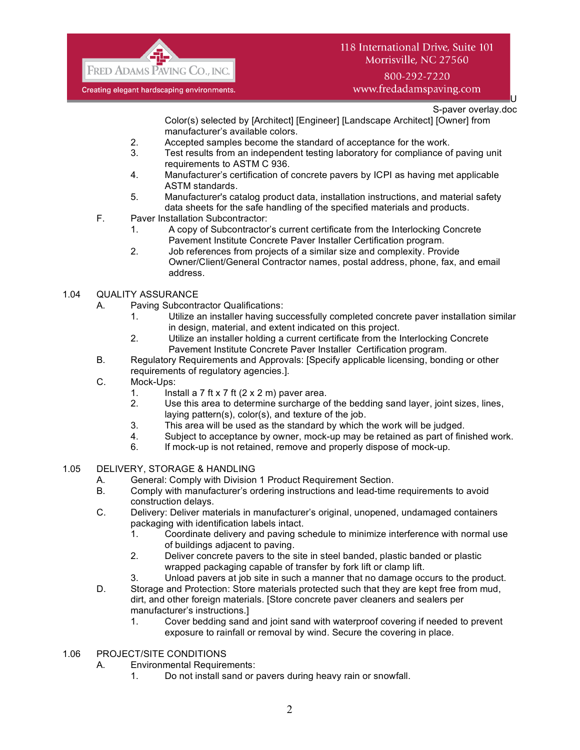

# 800-292-7220 www.fredadamspaving.com

U S-paver overlay.doc

Color(s) selected by [Architect] [Engineer] [Landscape Architect] [Owner] from manufacturer's available colors.

- 2. Accepted samples become the standard of acceptance for the work.
- 3. Test results from an independent testing laboratory for compliance of paving unit requirements to ASTM C 936.
- 4. Manufacturer's certification of concrete pavers by ICPI as having met applicable ASTM standards.
- 5. Manufacturer's catalog product data, installation instructions, and material safety data sheets for the safe handling of the specified materials and products.
- F. Paver Installation Subcontractor:
	- 1. A copy of Subcontractor's current certificate from the Interlocking Concrete Pavement Institute Concrete Paver Installer Certification program.
	- 2. Job references from projects of a similar size and complexity. Provide Owner/Client/General Contractor names, postal address, phone, fax, and email address.

# 1.04 QUALITY ASSURANCE

- A. Paving Subcontractor Qualifications:
	- 1. Utilize an installer having successfully completed concrete paver installation similar in design, material, and extent indicated on this project.
	- 2. Utilize an installer holding a current certificate from the Interlocking Concrete Pavement Institute Concrete Paver Installer Certification program.
- B. Regulatory Requirements and Approvals: [Specify applicable licensing, bonding or other requirements of regulatory agencies.].
- C. Mock-Ups:
	- 1. Install a 7 ft x 7 ft  $(2 \times 2 \text{ m})$  paver area.
	- 2. Use this area to determine surcharge of the bedding sand layer, joint sizes, lines, laying pattern(s), color(s), and texture of the job.
	- 3. This area will be used as the standard by which the work will be judged.
	- 4. Subject to acceptance by owner, mock-up may be retained as part of finished work.
	- 6. If mock-up is not retained, remove and properly dispose of mock-up.
- 1.05 DELIVERY, STORAGE & HANDLING
	- A. General: Comply with Division 1 Product Requirement Section.
	- B. Comply with manufacturer's ordering instructions and lead-time requirements to avoid construction delays.
	- C. Delivery: Deliver materials in manufacturer's original, unopened, undamaged containers packaging with identification labels intact.
		- 1. Coordinate delivery and paving schedule to minimize interference with normal use of buildings adjacent to paving.
		- 2. Deliver concrete pavers to the site in steel banded, plastic banded or plastic wrapped packaging capable of transfer by fork lift or clamp lift.
		- 3. Unload pavers at job site in such a manner that no damage occurs to the product.
	- D. Storage and Protection: Store materials protected such that they are kept free from mud, dirt, and other foreign materials. [Store concrete paver cleaners and sealers per manufacturer's instructions.]
		- 1. Cover bedding sand and joint sand with waterproof covering if needed to prevent exposure to rainfall or removal by wind. Secure the covering in place.

### 1.06 PROJECT/SITE CONDITIONS

- A. Environmental Requirements:
	- 1. Do not install sand or pavers during heavy rain or snowfall.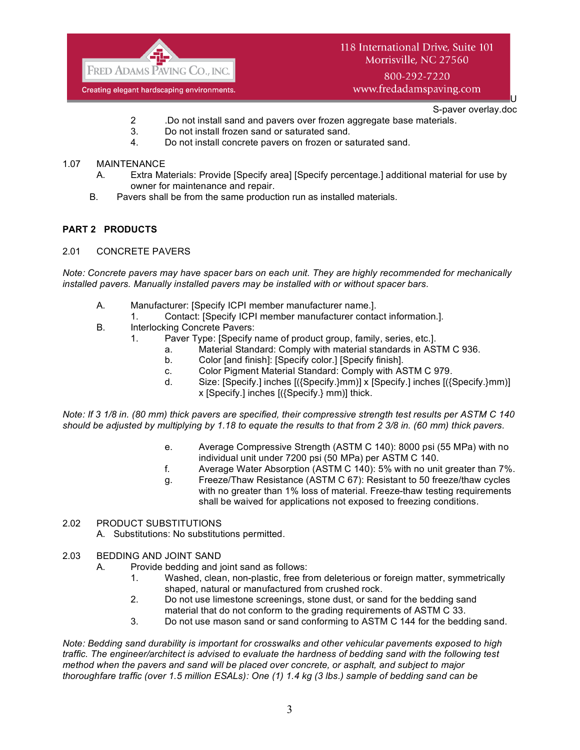

800-292-7220 www.fredadamspaving.com

> U S-paver overlay.doc

- 2 .Do not install sand and pavers over frozen aggregate base materials.
- 3. Do not install frozen sand or saturated sand.
- 4. Do not install concrete pavers on frozen or saturated sand.

### 1.07 MAINTENANCE

- A. Extra Materials: Provide [Specify area] [Specify percentage.] additional material for use by owner for maintenance and repair.
- B. Pavers shall be from the same production run as installed materials.

# **PART 2 PRODUCTS**

2.01 CONCRETE PAVERS

*Note: Concrete pavers may have spacer bars on each unit. They are highly recommended for mechanically installed pavers. Manually installed pavers may be installed with or without spacer bars.*

- A. Manufacturer: [Specify ICPI member manufacturer name.].
	- 1. Contact: [Specify ICPI member manufacturer contact information.].
- B. Interlocking Concrete Pavers:
	- 1. Paver Type: [Specify name of product group, family, series, etc.].
		- a. Material Standard: Comply with material standards in ASTM C 936.
		- b. Color [and finish]: [Specify color.] [Specify finish].
		- c. Color Pigment Material Standard: Comply with ASTM C 979.
		- d. Size: [Specify.] inches [({Specify.}mm)] x [Specify.] inches [({Specify.}mm)] x [Specify.] inches [({Specify.} mm)] thick.

*Note: If 3 1/8 in. (80 mm) thick pavers are specified, their compressive strength test results per ASTM C 140 should be adjusted by multiplying by 1.18 to equate the results to that from 2 3/8 in. (60 mm) thick pavers.*

- e. Average Compressive Strength (ASTM C 140): 8000 psi (55 MPa) with no individual unit under 7200 psi (50 MPa) per ASTM C 140.
- f. Average Water Absorption (ASTM C 140): 5% with no unit greater than 7%.
- g. Freeze/Thaw Resistance (ASTM C 67): Resistant to 50 freeze/thaw cycles with no greater than 1% loss of material. Freeze-thaw testing requirements shall be waived for applications not exposed to freezing conditions.
- 2.02 PRODUCT SUBSTITUTIONS A. Substitutions: No substitutions permitted.
- 2.03 BEDDING AND JOINT SAND
	- A. Provide bedding and joint sand as follows:
		- 1. Washed, clean, non-plastic, free from deleterious or foreign matter, symmetrically shaped, natural or manufactured from crushed rock.
		- 2. Do not use limestone screenings, stone dust, or sand for the bedding sand material that do not conform to the grading requirements of ASTM C 33.
		- 3. Do not use mason sand or sand conforming to ASTM C 144 for the bedding sand.

*Note: Bedding sand durability is important for crosswalks and other vehicular pavements exposed to high traffic. The engineer/architect is advised to evaluate the hardness of bedding sand with the following test method when the pavers and sand will be placed over concrete, or asphalt, and subject to major thoroughfare traffic (over 1.5 million ESALs): One (1) 1.4 kg (3 lbs.) sample of bedding sand can be*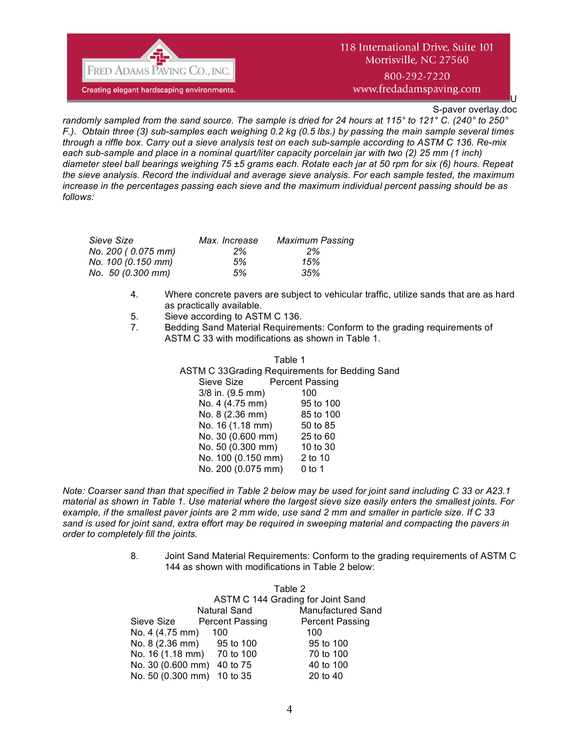

800-292-7220 www.fredadamspaving.com

S-paver overlay.doc

U

*randomly sampled from the sand source. The sample is dried for 24 hours at 115° to 121° C. (240° to 250° F.). Obtain three (3) sub-samples each weighing 0.2 kg (0.5 lbs.) by passing the main sample several times through a riffle box. Carry out a sieve analysis test on each sub-sample according to ASTM C 136. Re-mix*  each sub-sample and place in a nominal quart/liter capacity porcelain jar with two (2) 25 mm (1 inch) *diameter steel ball bearings weighing 75 ±5 grams each. Rotate each jar at 50 rpm for six (6) hours. Repeat the sieve analysis. Record the individual and average sieve analysis. For each sample tested, the maximum increase in the percentages passing each sieve and the maximum individual percent passing should be as follows:*

| Sieve Size         | Max. Increase | <b>Maximum Passing</b> |
|--------------------|---------------|------------------------|
| No. 200 (0.075 mm) | $2\%$         | 2%                     |
| No. 100 (0.150 mm) | 5%            | 15%                    |
| No. 50 (0.300 mm)  | 5%            | 35%                    |

- 4. Where concrete pavers are subject to vehicular traffic, utilize sands that are as hard as practically available.
- 5. Sieve according to ASTM C 136.
- 7. Bedding Sand Material Requirements: Conform to the grading requirements of ASTM C 33 with modifications as shown in Table 1.

| Table 1                                        |                        |
|------------------------------------------------|------------------------|
| ASTM C 33Grading Requirements for Bedding Sand |                        |
| Sieve Size                                     | <b>Percent Passing</b> |
| $3/8$ in. $(9.5$ mm)                           | 100                    |
| No. 4 (4.75 mm)                                | 95 to 100              |
| No. 8 (2.36 mm)                                | 85 to 100              |
| No. 16 (1.18 mm)                               | 50 to 85               |
| No. 30 (0.600 mm)                              | 25 to 60               |
| No. 50 (0.300 mm)                              | 10 to 30               |
| No. 100 (0.150 mm)                             | 2 to 10                |
| No. 200 (0.075 mm)                             | $0$ to 1               |

*Note: Coarser sand than that specified in Table 2 below may be used for joint sand including C 33 or A23.1 material as shown in Table 1. Use material where the largest sieve size easily enters the smallest joints. For example, if the smallest paver joints are 2 mm wide, use sand 2 mm and smaller in particle size. If C 33 sand is used for joint sand, extra effort may be required in sweeping material and compacting the pavers in order to completely fill the joints.* 

> 8. Joint Sand Material Requirements: Conform to the grading requirements of ASTM C 144 as shown with modifications in Table 2 below:

|                            | Table 2<br>ASTM C 144 Grading for Joint Sand |                          |  |
|----------------------------|----------------------------------------------|--------------------------|--|
|                            | <b>Natural Sand</b>                          | <b>Manufactured Sand</b> |  |
| Sieve Size                 | <b>Percent Passing</b>                       | <b>Percent Passing</b>   |  |
| No. 4 (4.75 mm)            | 100                                          | 100                      |  |
| No. 8 (2.36 mm) 95 to 100  |                                              | 95 to 100                |  |
| No. 16 (1.18 mm) 70 to 100 |                                              | 70 to 100                |  |
| No. 30 (0.600 mm) 40 to 75 |                                              | 40 to 100                |  |
| No. 50 (0.300 mm) 10 to 35 |                                              | 20 to 40                 |  |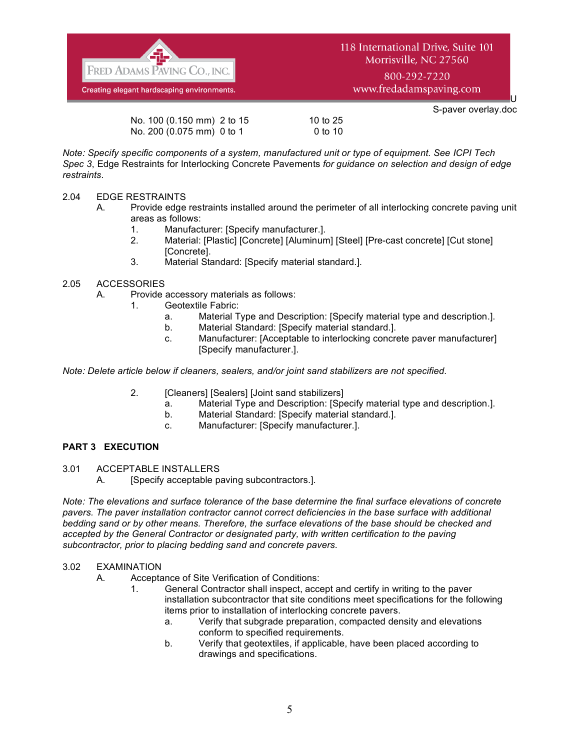![](_page_4_Picture_0.jpeg)

800-292-7220 www.fredadamspaving.com

U

|                            |           | S-paver overlay.doc |
|----------------------------|-----------|---------------------|
| No. 100 (0.150 mm) 2 to 15 | 10 to 25  |                     |
| No. 200 (0.075 mm) 0 to 1  | $0$ to 10 |                     |

*Note: Specify specific components of a system, manufactured unit or type of equipment. See ICPI Tech Spec 3*, Edge Restraints for Interlocking Concrete Pavements *for guidance on selection and design of edge restraints.*

# 2.04 EDGE RESTRAINTS

- A. Provide edge restraints installed around the perimeter of all interlocking concrete paving unit areas as follows:
	- 1. Manufacturer: [Specify manufacturer.].
	- 2. Material: [Plastic] [Concrete] [Aluminum] [Steel] [Pre-cast concrete] [Cut stone] [Concrete].
	- 3. Material Standard: [Specify material standard.].

### 2.05 ACCESSORIES

- A. Provide accessory materials as follows:
	- 1. Geotextile Fabric:
		- a. Material Type and Description: [Specify material type and description.].
		- b. Material Standard: [Specify material standard.].
		- c. Manufacturer: [Acceptable to interlocking concrete paver manufacturer] [Specify manufacturer.].

*Note: Delete article below if cleaners, sealers, and/or joint sand stabilizers are not specified.*

- 2. **[Cleaners] [Sealers] [Joint sand stabilizers]** 
	- a. Material Type and Description: [Specify material type and description.].
	- b. Material Standard: [Specify material standard.].
	- c. Manufacturer: [Specify manufacturer.].

# **PART 3 EXECUTION**

3.01 ACCEPTABLE INSTALLERS

A. [Specify acceptable paving subcontractors.].

*Note: The elevations and surface tolerance of the base determine the final surface elevations of concrete pavers. The paver installation contractor cannot correct deficiencies in the base surface with additional bedding sand or by other means. Therefore, the surface elevations of the base should be checked and accepted by the General Contractor or designated party, with written certification to the paving subcontractor, prior to placing bedding sand and concrete pavers.*

### 3.02 EXAMINATION

- A. Acceptance of Site Verification of Conditions:
	- 1. General Contractor shall inspect, accept and certify in writing to the paver installation subcontractor that site conditions meet specifications for the following items prior to installation of interlocking concrete pavers.
		- a. Verify that subgrade preparation, compacted density and elevations conform to specified requirements.
		- b. Verify that geotextiles, if applicable, have been placed according to drawings and specifications.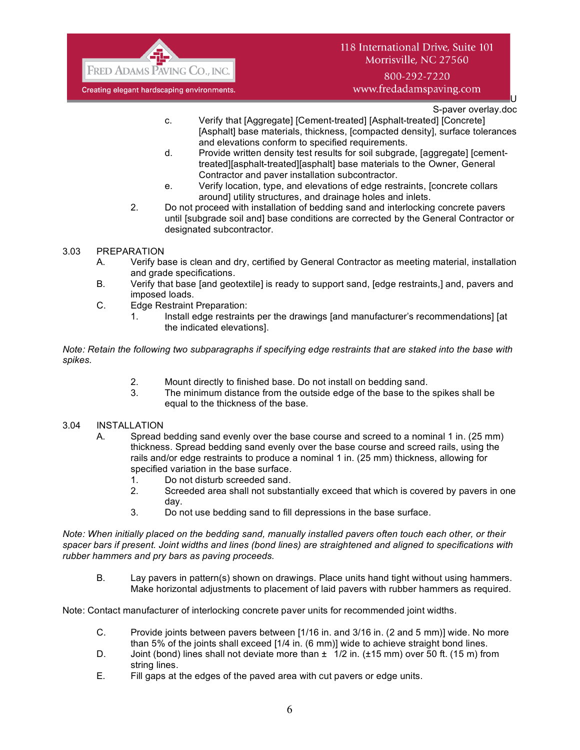![](_page_5_Picture_0.jpeg)

800-292-7220 www.fredadamspaving.com

U S-paver overlay.doc

- c. Verify that [Aggregate] [Cement-treated] [Asphalt-treated] [Concrete] [Asphalt] base materials, thickness, [compacted density], surface tolerances and elevations conform to specified requirements.
- d. Provide written density test results for soil subgrade, [aggregate] [cementtreated][asphalt-treated][asphalt] base materials to the Owner, General Contractor and paver installation subcontractor.
- e. Verify location, type, and elevations of edge restraints, [concrete collars around] utility structures, and drainage holes and inlets.
- 2. Do not proceed with installation of bedding sand and interlocking concrete pavers until [subgrade soil and] base conditions are corrected by the General Contractor or designated subcontractor.
- 3.03 PREPARATION
	- A. Verify base is clean and dry, certified by General Contractor as meeting material, installation and grade specifications.
	- B. Verify that base [and geotextile] is ready to support sand, [edge restraints,] and, pavers and imposed loads.
	- C. Edge Restraint Preparation:
		- 1. Install edge restraints per the drawings [and manufacturer's recommendations] [at the indicated elevations].

*Note: Retain the following two subparagraphs if specifying edge restraints that are staked into the base with spikes.*

- 2. Mount directly to finished base. Do not install on bedding sand.
- 3. The minimum distance from the outside edge of the base to the spikes shall be equal to the thickness of the base.
- 3.04 INSTALLATION
	- A. Spread bedding sand evenly over the base course and screed to a nominal 1 in. (25 mm) thickness. Spread bedding sand evenly over the base course and screed rails, using the rails and/or edge restraints to produce a nominal 1 in. (25 mm) thickness, allowing for specified variation in the base surface.
		- 1. Do not disturb screeded sand.
		- 2. Screeded area shall not substantially exceed that which is covered by pavers in one day.
		- 3. Do not use bedding sand to fill depressions in the base surface.

*Note: When initially placed on the bedding sand, manually installed pavers often touch each other, or their spacer bars if present. Joint widths and lines (bond lines) are straightened and aligned to specifications with rubber hammers and pry bars as paving proceeds.*

B. Lay pavers in pattern(s) shown on drawings. Place units hand tight without using hammers. Make horizontal adjustments to placement of laid pavers with rubber hammers as required.

Note: Contact manufacturer of interlocking concrete paver units for recommended joint widths.

- C. Provide joints between pavers between [1/16 in. and 3/16 in. (2 and 5 mm)] wide. No more than 5% of the joints shall exceed [1/4 in. (6 mm)] wide to achieve straight bond lines.
- D. Joint (bond) lines shall not deviate more than  $\pm 1/2$  in. ( $\pm 15$  mm) over 50 ft. (15 m) from string lines.
- E. Fill gaps at the edges of the paved area with cut pavers or edge units.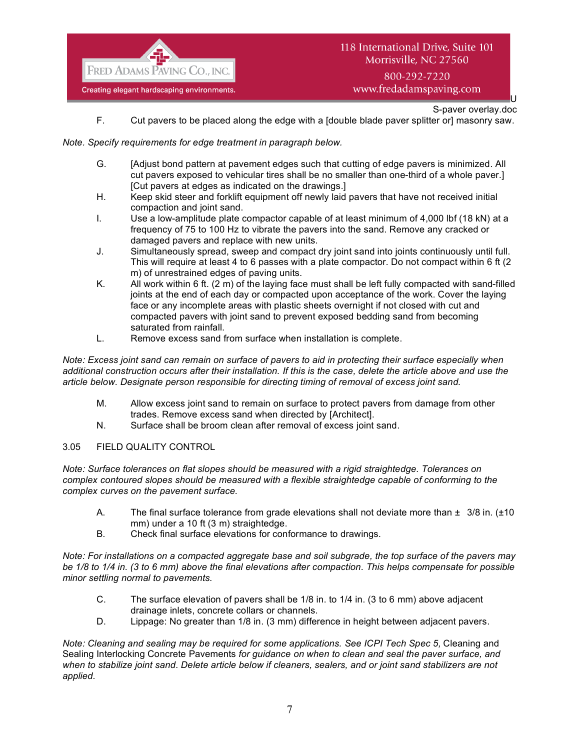![](_page_6_Picture_0.jpeg)

U S-paver overlay.doc

F. Cut pavers to be placed along the edge with a [double blade paver splitter or] masonry saw.

### *Note. Specify requirements for edge treatment in paragraph below.*

- G. [Adjust bond pattern at pavement edges such that cutting of edge pavers is minimized. All cut pavers exposed to vehicular tires shall be no smaller than one-third of a whole paver.] [Cut pavers at edges as indicated on the drawings.]
- H. Keep skid steer and forklift equipment off newly laid pavers that have not received initial compaction and joint sand.
- I. Use a low-amplitude plate compactor capable of at least minimum of 4,000 lbf (18 kN) at a frequency of 75 to 100 Hz to vibrate the pavers into the sand. Remove any cracked or damaged pavers and replace with new units.
- J. Simultaneously spread, sweep and compact dry joint sand into joints continuously until full. This will require at least 4 to 6 passes with a plate compactor. Do not compact within 6 ft (2 m) of unrestrained edges of paving units.
- K. All work within 6 ft. (2 m) of the laying face must shall be left fully compacted with sand-filled joints at the end of each day or compacted upon acceptance of the work. Cover the laying face or any incomplete areas with plastic sheets overnight if not closed with cut and compacted pavers with joint sand to prevent exposed bedding sand from becoming saturated from rainfall.
- L. Remove excess sand from surface when installation is complete.

*Note: Excess joint sand can remain on surface of pavers to aid in protecting their surface especially when additional construction occurs after their installation. If this is the case, delete the article above and use the article below. Designate person responsible for directing timing of removal of excess joint sand.*

- M. Allow excess joint sand to remain on surface to protect pavers from damage from other trades. Remove excess sand when directed by [Architect].
- N. Surface shall be broom clean after removal of excess joint sand.

### 3.05 FIELD QUALITY CONTROL

*Note: Surface tolerances on flat slopes should be measured with a rigid straightedge. Tolerances on complex contoured slopes should be measured with a flexible straightedge capable of conforming to the complex curves on the pavement surface.*

- A. The final surface tolerance from grade elevations shall not deviate more than  $\pm$  3/8 in. ( $\pm$ 10 mm) under a 10 ft (3 m) straightedge.
- B. Check final surface elevations for conformance to drawings.

*Note: For installations on a compacted aggregate base and soil subgrade, the top surface of the pavers may be 1/8 to 1/4 in. (3 to 6 mm) above the final elevations after compaction. This helps compensate for possible minor settling normal to pavements.*

- C. The surface elevation of pavers shall be 1/8 in. to 1/4 in. (3 to 6 mm) above adjacent drainage inlets, concrete collars or channels.
- D. Lippage: No greater than 1/8 in. (3 mm) difference in height between adjacent pavers.

*Note: Cleaning and sealing may be required for some applications. See ICPI Tech Spec 5, Cleaning and* Sealing Interlocking Concrete Pavements *for guidance on when to clean and seal the paver surface, and when to stabilize joint sand. Delete article below if cleaners, sealers, and or joint sand stabilizers are not applied.*